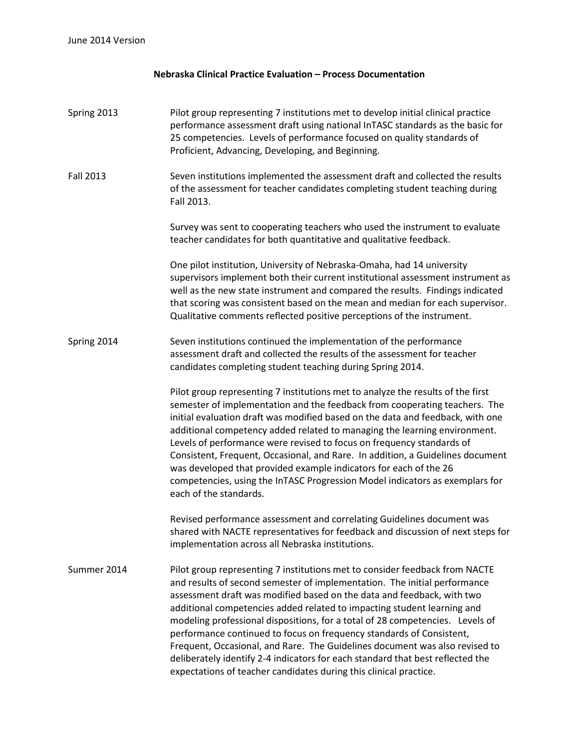## **Nebraska Clinical Practice Evaluation – Process Documentation**

## Spring 2013 Pilot group representing 7 institutions met to develop initial clinical practice performance assessment draft using national InTASC standards as the basic for 25 competencies. Levels of performance focused on quality standards of Proficient, Advancing, Developing, and Beginning.

Fall 2013 Seven institutions implemented the assessment draft and collected the results of the assessment for teacher candidates completing student teaching during Fall 2013.

> Survey was sent to cooperating teachers who used the instrument to evaluate teacher candidates for both quantitative and qualitative feedback.

One pilot institution, University of Nebraska-Omaha, had 14 university supervisors implement both their current institutional assessment instrument as well as the new state instrument and compared the results. Findings indicated that scoring was consistent based on the mean and median for each supervisor. Qualitative comments reflected positive perceptions of the instrument.

## Spring 2014 Seven institutions continued the implementation of the performance assessment draft and collected the results of the assessment for teacher candidates completing student teaching during Spring 2014.

Pilot group representing 7 institutions met to analyze the results of the first semester of implementation and the feedback from cooperating teachers. The initial evaluation draft was modified based on the data and feedback, with one additional competency added related to managing the learning environment. Levels of performance were revised to focus on frequency standards of Consistent, Frequent, Occasional, and Rare. In addition, a Guidelines document was developed that provided example indicators for each of the 26 competencies, using the InTASC Progression Model indicators as exemplars for each of the standards.

Revised performance assessment and correlating Guidelines document was shared with NACTE representatives for feedback and discussion of next steps for implementation across all Nebraska institutions.

Summer 2014 Pilot group representing 7 institutions met to consider feedback from NACTE and results of second semester of implementation. The initial performance assessment draft was modified based on the data and feedback, with two additional competencies added related to impacting student learning and modeling professional dispositions, for a total of 28 competencies. Levels of performance continued to focus on frequency standards of Consistent, Frequent, Occasional, and Rare. The Guidelines document was also revised to deliberately identify 2-4 indicators for each standard that best reflected the expectations of teacher candidates during this clinical practice.